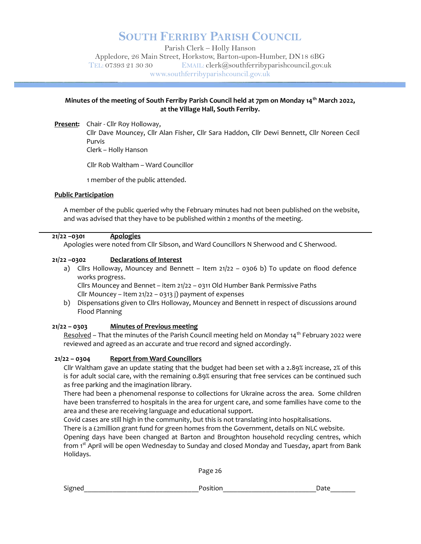## SOUTH FERRIBY PARISH COUNCIL

Parish Clerk – Holly Hanson Appledore, 26 Main Street, Horkstow, Barton-upon-Humber, DN18 6BG TEL: 07393 21 30 30 EMAIL: clerk@southferribyparishcouncil.gov.uk www.southferribyparishcouncil.gov.uk

#### Minutes of the meeting of South Ferriby Parish Council held at 7pm on Monday 14<sup>th</sup> March 2022, at the Village Hall, South Ferriby.

Present: Chair - Cllr Roy Holloway,

 Cllr Dave Mouncey, Cllr Alan Fisher, Cllr Sara Haddon, Cllr Dewi Bennett, Cllr Noreen Cecil Purvis

Clerk – Holly Hanson

Cllr Rob Waltham – Ward Councillor

1 member of the public attended.

#### Public Participation

A member of the public queried why the February minutes had not been published on the website, and was advised that they have to be published within 2 months of the meeting.

#### 21/22 –0301 Apologies

Apologies were noted from Cllr Sibson, and Ward Councillors N Sherwood and C Sherwood.

#### 21/22 –0302 Declarations of Interest

a) Cllrs Holloway, Mouncey and Bennett – Item 21/22 – 0306 b) To update on flood defence works progress.

Cllrs Mouncey and Bennet – item 21/22 – 0311 Old Humber Bank Permissive Paths Cllr Mouncey – Item 21/22 – 0313 j) payment of expenses

b) Dispensations given to Cllrs Holloway, Mouncey and Bennett in respect of discussions around Flood Planning

#### 21/22 – 0303 Minutes of Previous meeting

Resolved – That the minutes of the Parish Council meeting held on Monday 14<sup>th</sup> February 2022 were reviewed and agreed as an accurate and true record and signed accordingly.

#### 21/22 – 0304 Report from Ward Councillors

Cllr Waltham gave an update stating that the budget had been set with a 2.89% increase, 2% of this is for adult social care, with the remaining 0.89% ensuring that free services can be continued such as free parking and the imagination library.

There had been a phenomenal response to collections for Ukraine across the area. Some children have been transferred to hospitals in the area for urgent care, and some families have come to the area and these are receiving language and educational support.

Covid cases are still high in the community, but this is not translating into hospitalisations.

There is a £2million grant fund for green homes from the Government, details on NLC website.

Opening days have been changed at Barton and Broughton household recycling centres, which from 1st April will be open Wednesday to Sunday and closed Monday and Tuesday, apart from Bank Holidays.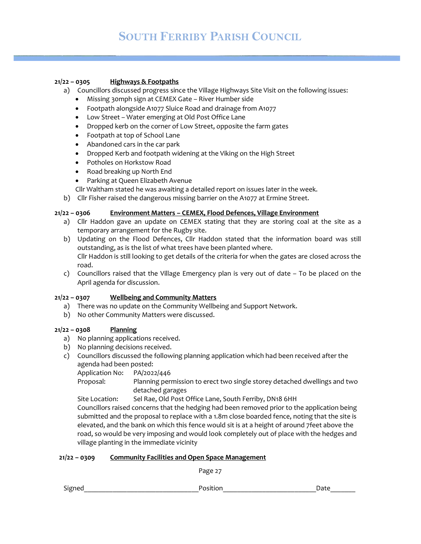## 21/22 – 0305 Highways & Footpaths

- a) Councillors discussed progress since the Village Highways Site Visit on the following issues:
	- Missing 30mph sign at CEMEX Gate River Humber side
	- Footpath alongside A1077 Sluice Road and drainage from A1077
	- Low Street Water emerging at Old Post Office Lane
	- Dropped kerb on the corner of Low Street, opposite the farm gates
	- Footpath at top of School Lane
	- Abandoned cars in the car park
	- Dropped Kerb and footpath widening at the Viking on the High Street
	- Potholes on Horkstow Road
	- Road breaking up North End
	- Parking at Queen Elizabeth Avenue
	- Cllr Waltham stated he was awaiting a detailed report on issues later in the week.
- b) Cllr Fisher raised the dangerous missing barrier on the A1077 at Ermine Street.

## 21/22 – 0306 Environment Matters – CEMEX, Flood Defences, Village Environment

- a) Cllr Haddon gave an update on CEMEX stating that they are storing coal at the site as a temporary arrangement for the Rugby site.
- b) Updating on the Flood Defences, Cllr Haddon stated that the information board was still outstanding, as is the list of what trees have been planted where. Cllr Haddon is still looking to get details of the criteria for when the gates are closed across the road.
- c) Councillors raised that the Village Emergency plan is very out of date To be placed on the April agenda for discussion.

#### 21/22 – 0307 Wellbeing and Community Matters

- a) There was no update on the Community Wellbeing and Support Network.
- b) No other Community Matters were discussed.

#### 21/22 – 0308 Planning

- a) No planning applications received.
- b) No planning decisions received.
- c) Councillors discussed the following planning application which had been received after the agenda had been posted:

Application No: PA/2022/446

Proposal: Planning permission to erect two single storey detached dwellings and two detached garages

Site Location: Sel Rae, Old Post Office Lane, South Ferriby, DN18 6HH

Councillors raised concerns that the hedging had been removed prior to the application being submitted and the proposal to replace with a 1.8m close boarded fence, noting that the site is elevated, and the bank on which this fence would sit is at a height of around 7feet above the road, so would be very imposing and would look completely out of place with the hedges and village planting in the immediate vicinity

#### 21/22 – 0309 Community Facilities and Open Space Management

Page 27

Signed and the contract of the state of the state of the state of the state of the state of the state of the state of the state of the state of the state of the state of the state of the state of the state of the state of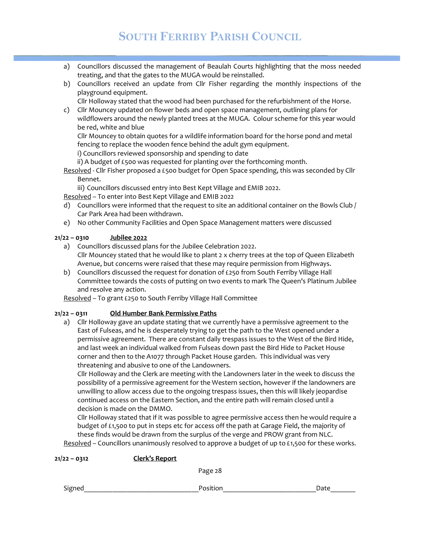# SOUTH FERRIBY PARISH COUNCIL

- a) Councillors discussed the management of Beaulah Courts highlighting that the moss needed treating, and that the gates to the MUGA would be reinstalled.
- b) Councillors received an update from Cllr Fisher regarding the monthly inspections of the playground equipment.

Cllr Holloway stated that the wood had been purchased for the refurbishment of the Horse.

c) Cllr Mouncey updated on flower beds and open space management, outlining plans for wildflowers around the newly planted trees at the MUGA. Colour scheme for this year would be red, white and blue

 Cllr Mouncey to obtain quotes for a wildlife information board for the horse pond and metal fencing to replace the wooden fence behind the adult gym equipment.

i) Councillors reviewed sponsorship and spending to date

ii) A budget of £500 was requested for planting over the forthcoming month.

Resolved - Cllr Fisher proposed a £500 budget for Open Space spending, this was seconded by Cllr Bennet.

iii) Councillors discussed entry into Best Kept Village and EMIB 2022.

Resolved – To enter into Best Kept Village and EMIB 2022

- d) Councillors were informed that the request to site an additional container on the Bowls Club / Car Park Area had been withdrawn.
- e) No other Community Facilities and Open Space Management matters were discussed

## 21/22 – 0310 Jubilee 2022

- a) Councillors discussed plans for the Jubilee Celebration 2022. Cllr Mouncey stated that he would like to plant 2 x cherry trees at the top of Queen Elizabeth Avenue, but concerns were raised that these may require permission from Highways.
- b) Councillors discussed the request for donation of £250 from South Ferriby Village Hall Committee towards the costs of putting on two events to mark The Queen's Platinum Jubilee and resolve any action.

Resolved – To grant £250 to South Ferriby Village Hall Committee

## 21/22 – 0311 Old Humber Bank Permissive Paths

a) Cllr Holloway gave an update stating that we currently have a permissive agreement to the East of Fulseas, and he is desperately trying to get the path to the West opened under a permissive agreement. There are constant daily trespass issues to the West of the Bird Hide, and last week an individual walked from Fulseas down past the Bird Hide to Packet House corner and then to the A1077 through Packet House garden. This individual was very threatening and abusive to one of the Landowners.

 Cllr Holloway and the Clerk are meeting with the Landowners later in the week to discuss the possibility of a permissive agreement for the Western section, however if the landowners are unwilling to allow access due to the ongoing trespass issues, then this will likely jeopardise continued access on the Eastern Section, and the entire path will remain closed until a decision is made on the DMMO.

 Cllr Holloway stated that if it was possible to agree permissive access then he would require a budget of £1,500 to put in steps etc for access off the path at Garage Field, the majority of these finds would be drawn from the surplus of the verge and PROW grant from NLC.

Resolved – Councillors unanimously resolved to approve a budget of up to £1,500 for these works.

| 21/22 – 0312 | Clerk's Report |         |
|--------------|----------------|---------|
|              |                | Page 28 |